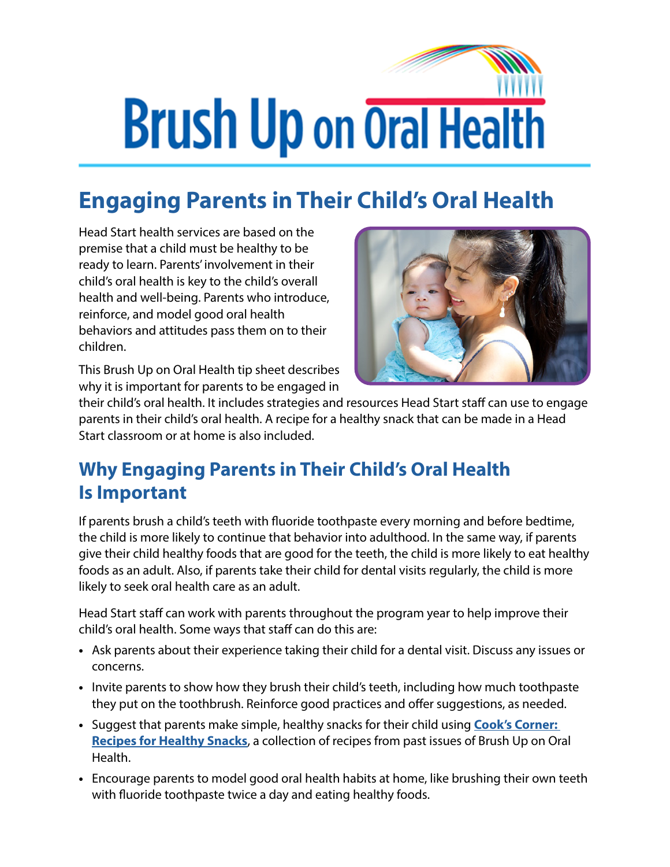## **Brush Up on Oral Health**

## **Engaging Parents in Their Child's Oral Health**

Head Start health services are based on the premise that a child must be healthy to be ready to learn. Parents' involvement in their child's oral health is key to the child's overall health and well-being. Parents who introduce, reinforce, and model good oral health behaviors and attitudes pass them on to their children.

This Brush Up on Oral Health tip sheet describes why it is important for parents to be engaged in



their child's oral health. It includes strategies and resources Head Start staff can use to engage parents in their child's oral health. A recipe for a healthy snack that can be made in a Head Start classroom or at home is also included.

## **Why Engaging Parents in Their Child's Oral Health Is Important**

If parents brush a child's teeth with fluoride toothpaste every morning and before bedtime, the child is more likely to continue that behavior into adulthood. In the same way, if parents give their child healthy foods that are good for the teeth, the child is more likely to eat healthy foods as an adult. Also, if parents take their child for dental visits regularly, the child is more likely to seek oral health care as an adult.

Head Start staff can work with parents throughout the program year to help improve their child's oral health. Some ways that staff can do this are:

- **•** Ask parents about their experience taking their child for a dental visit. Discuss any issues or concerns.
- **•** Invite parents to show how they brush their child's teeth, including how much toothpaste they put on the toothbrush. Reinforce good practices and offer suggestions, as needed.
- **•** Suggest that parents make simple, healthy snacks for their child using **[Cook's Corner:](https://eclkc.ohs.acf.hhs.gov/oral-health/cooks-corner-recipes-healthy-snacks/cooks-corner-recipes-healthy-snacks)  [Recipes for Healthy Snacks](https://eclkc.ohs.acf.hhs.gov/oral-health/cooks-corner-recipes-healthy-snacks/cooks-corner-recipes-healthy-snacks)**, a collection of recipes from past issues of Brush Up on Oral Health.
- **•** Encourage parents to model good oral health habits at home, like brushing their own teeth with fluoride toothpaste twice a day and eating healthy foods.